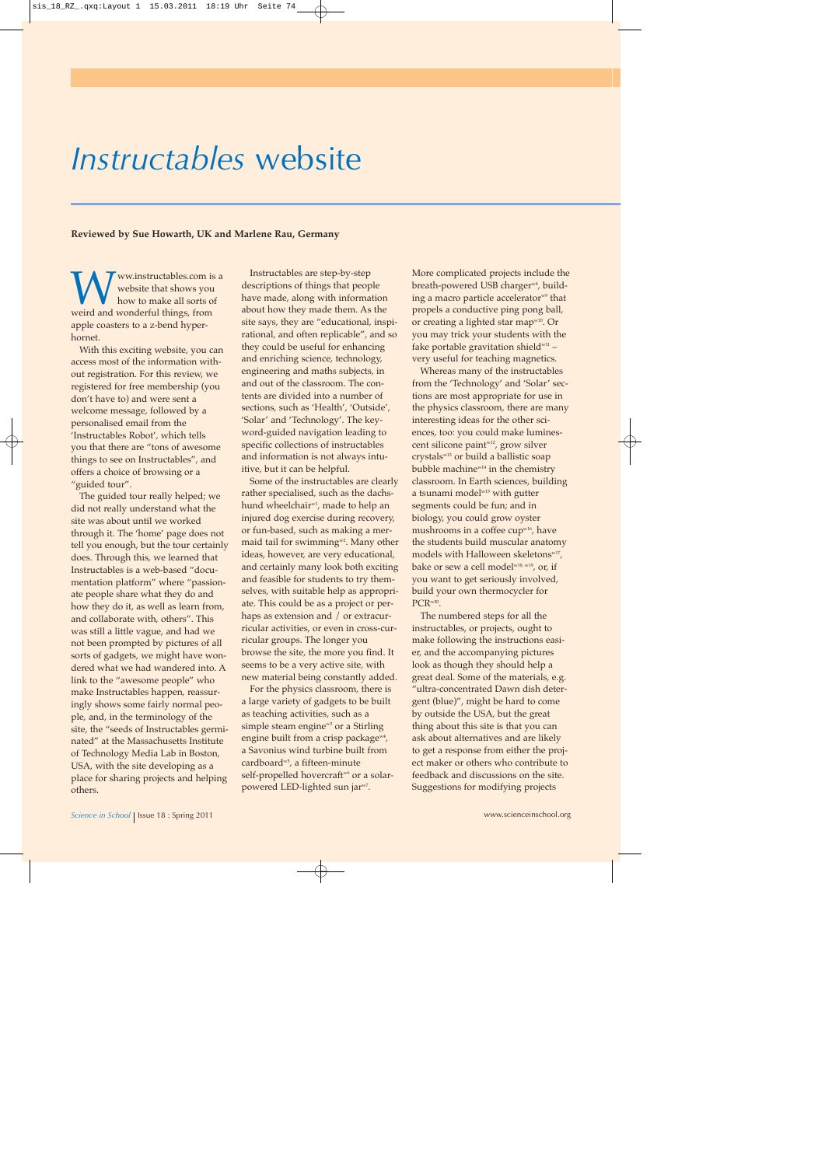## *Instructables* website

## **Reviewed by Sue Howarth, UK and Marlene Rau, Germany**

Www.instructables.com is a website that shows you how to make all sorts of weird and wonderful things, from website that shows you how to make all sorts of apple coasters to a z-bend hyper hornet.

With this exciting website, you can access most of the information without registration. For this review, we registered for free membership (you don't have to) and were sent a welcome message, followed by a personalised email from the 'Instructables Robot', which tells you that there are "tons of awesome things to see on Instructables", and offers a choice of browsing or a "guided tour".

The guided tour really helped; we did not really understand what the site was about until we worked through it. The 'home' page does not tell you enough, but the tour certainly does. Through this, we learned that Instructables is a web-based "documentation platform" where "passionate people share what they do and how they do it, as well as learn from, and collaborate with, others". This was still a little vague, and had we not been prompted by pictures of all sorts of gadgets, we might have wondered what we had wandered into. A link to the "awesome people" who make Instructables happen, reassuringly shows some fairly normal people, and, in the terminology of the site, the "seeds of Instructables germinated" at the Massachusetts Institute of Technology Media Lab in Boston, USA, with the site developing as a place for sharing projects and helping others.

Instructables are step-by-step descriptions of things that people have made, along with information about how they made them. As the site says, they are "educational, inspirational, and often replicable", and so they could be useful for enhancing and enriching science, technology, engineering and maths subjects, in and out of the classroom. The contents are divided into a number of sections, such as 'Health', 'Outside', 'Solar' and 'Technology'. The keyword-guided navigation leading to specific collections of instructables and information is not always intuitive, but it can be helpful.

Some of the instructables are clearly rather specialised, such as the dachshund wheelchair<sup>w1</sup>, made to help an injured dog exercise during recovery, or fun-based, such as making a mermaid tail for swimming<sup>w2</sup>. Many other ideas, however, are very educational, and certainly many look both exciting and feasible for students to try themselves, with suitable help as appropriate. This could be as a project or perhaps as extension and / or extracurricular activities, or even in cross-curricular groups. The longer you browse the site, the more you find. It seems to be a very active site, with new material being constantly added.

For the physics classroom, there is a large variety of gadgets to be built as teaching activities, such as a simple steam engine $w_3$  or a Stirling engine built from a crisp package<sup>w4</sup>, a Savonius wind turbine built from cardboard<sup>w5</sup>, a fifteen-minute self-propelled hovercraft<sup>w6</sup> or a solarpowered LED-lighted sun jarw7.

More complicated projects include the breath-powered USB charger<sup>w8</sup>, building a macro particle accelerator<sup>w9</sup> that propels a conductive ping pong ball, or creating a lighted star map<sup>w10</sup>. Or you may trick your students with the fake portable gravitation shield $w11$  very useful for teaching magnetics.

Whereas many of the instructables from the 'Technology' and 'Solar' sections are most appropriate for use in the physics classroom, there are many interesting ideas for the other sciences, too: you could make luminescent silicone paint<sup>w12</sup>, grow silver crystalsw13 or build a ballistic soap bubble machine<sup>w14</sup> in the chemistry classroom. In Earth sciences, building a tsunami model<sup>w15</sup> with gutter segments could be fun; and in biology, you could grow oyster mushrooms in a coffee cup<sup>w16</sup>, have the students build muscular anatomy models with Halloween skeletons<sup>w17</sup>, bake or sew a cell model<sup>w18, w19</sup>, or, if you want to get seriously involved, build your own thermocycler for PCR<sup>w20</sup>.

The numbered steps for all the instructables, or projects, ought to make following the instructions easier, and the accompanying pictures look as though they should help a great deal. Some of the materials, e.g. "ultra-concentrated Dawn dish detergent (blue)", might be hard to come by outside the USA, but the great thing about this site is that you can ask about alternatives and are likely to get a response from either the project maker or others who contribute to feedback and discussions on the site. Suggestions for modifying projects